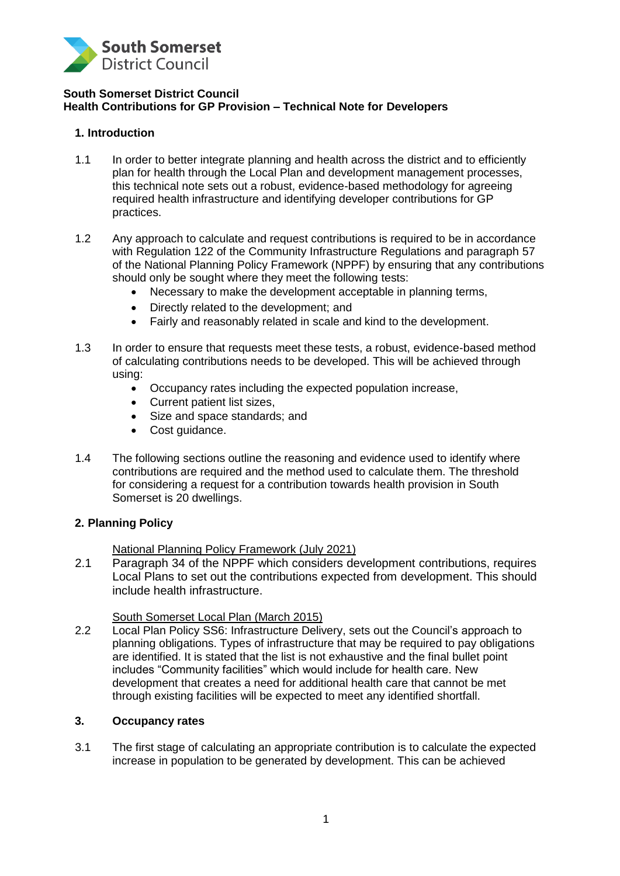

### **South Somerset District Council Health Contributions for GP Provision – Technical Note for Developers**

## **1. Introduction**

- 1.1 In order to better integrate planning and health across the district and to efficiently plan for health through the Local Plan and development management processes, this technical note sets out a robust, evidence-based methodology for agreeing required health infrastructure and identifying developer contributions for GP practices.
- 1.2 Any approach to calculate and request contributions is required to be in accordance with Regulation 122 of the Community Infrastructure Regulations and paragraph 57 of the National Planning Policy Framework (NPPF) by ensuring that any contributions should only be sought where they meet the following tests:
	- Necessary to make the development acceptable in planning terms,
	- Directly related to the development; and
	- Fairly and reasonably related in scale and kind to the development.
- 1.3 In order to ensure that requests meet these tests, a robust, evidence-based method of calculating contributions needs to be developed. This will be achieved through using:
	- Occupancy rates including the expected population increase,
	- Current patient list sizes,
	- Size and space standards; and
	- Cost quidance.
- 1.4 The following sections outline the reasoning and evidence used to identify where contributions are required and the method used to calculate them. The threshold for considering a request for a contribution towards health provision in South Somerset is 20 dwellings.

## **2. Planning Policy**

## National Planning Policy Framework (July 2021)

2.1 Paragraph 34 of the NPPF which considers development contributions, requires Local Plans to set out the contributions expected from development. This should include health infrastructure.

## South Somerset Local Plan (March 2015)

2.2 Local Plan Policy SS6: Infrastructure Delivery, sets out the Council's approach to planning obligations. Types of infrastructure that may be required to pay obligations are identified. It is stated that the list is not exhaustive and the final bullet point includes "Community facilities" which would include for health care. New development that creates a need for additional health care that cannot be met through existing facilities will be expected to meet any identified shortfall.

## **3. Occupancy rates**

3.1 The first stage of calculating an appropriate contribution is to calculate the expected increase in population to be generated by development. This can be achieved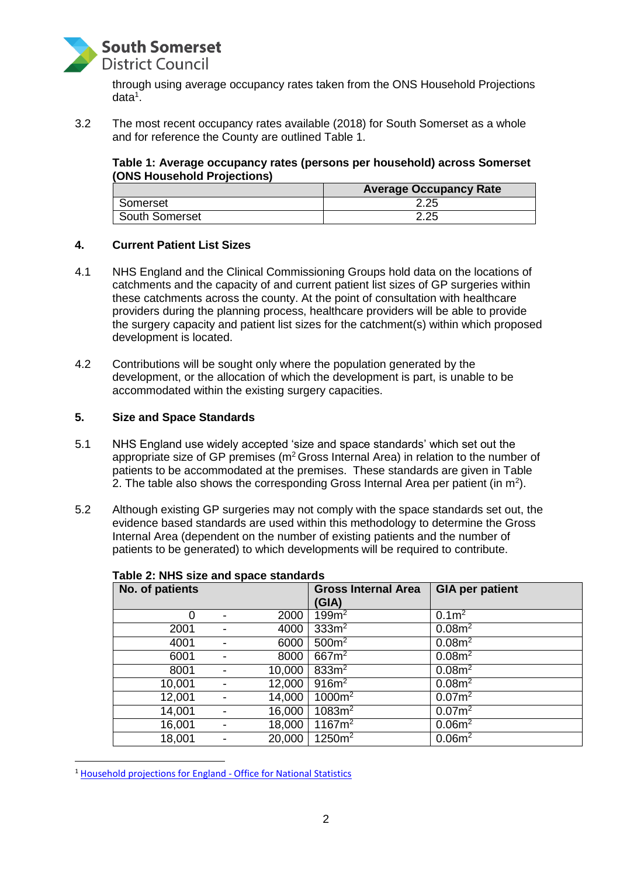

through using average occupancy rates taken from the ONS Household Projections data<sup>1</sup>.

3.2 The most recent occupancy rates available (2018) for South Somerset as a whole and for reference the County are outlined Table 1.

## **Table 1: Average occupancy rates (persons per household) across Somerset (ONS Household Projections)**

|                | <b>Average Occupancy Rate</b> |
|----------------|-------------------------------|
| Somerset       | 2.25                          |
| South Somerset | つつに<br>ے .ے                   |

#### **4. Current Patient List Sizes**

- 4.1 NHS England and the Clinical Commissioning Groups hold data on the locations of catchments and the capacity of and current patient list sizes of GP surgeries within these catchments across the county. At the point of consultation with healthcare providers during the planning process, healthcare providers will be able to provide the surgery capacity and patient list sizes for the catchment(s) within which proposed development is located.
- 4.2 Contributions will be sought only where the population generated by the development, or the allocation of which the development is part, is unable to be accommodated within the existing surgery capacities.

#### **5. Size and Space Standards**

- 5.1 NHS England use widely accepted 'size and space standards' which set out the appropriate size of GP premises ( $m^2$  Gross Internal Area) in relation to the number of patients to be accommodated at the premises. These standards are given in Table 2. The table also shows the corresponding Gross Internal Area per patient (in  $m^2$ ).
- 5.2 Although existing GP surgeries may not comply with the space standards set out, the evidence based standards are used within this methodology to determine the Gross Internal Area (dependent on the number of existing patients and the number of patients to be generated) to which developments will be required to contribute.

| , apic =, , ,, , , c, c, e, a, , a c, c, c, c, c, ., au . ac |  |        |                            |                        |  |  |
|--------------------------------------------------------------|--|--------|----------------------------|------------------------|--|--|
| No. of patients                                              |  |        | <b>Gross Internal Area</b> | <b>GIA per patient</b> |  |  |
|                                                              |  |        | (GIA)                      |                        |  |  |
| 0                                                            |  | 2000   | 199m <sup>2</sup>          | 0.1m <sup>2</sup>      |  |  |
| 2001                                                         |  | 4000   | 333m <sup>2</sup>          | 0.08m <sup>2</sup>     |  |  |
| 4001                                                         |  | 6000   | 500m <sup>2</sup>          | 0.08m <sup>2</sup>     |  |  |
| 6001                                                         |  | 8000   | 667m <sup>2</sup>          | 0.08m <sup>2</sup>     |  |  |
| 8001                                                         |  | 10,000 | 833m <sup>2</sup>          | 0.08m <sup>2</sup>     |  |  |
| 10,001                                                       |  | 12,000 | $916m^2$                   | 0.08m <sup>2</sup>     |  |  |
| 12,001                                                       |  | 14,000 | 1000m <sup>2</sup>         | 0.07m <sup>2</sup>     |  |  |
| 14,001                                                       |  | 16,000 | $1083m^2$                  | 0.07m <sup>2</sup>     |  |  |
| 16,001                                                       |  | 18,000 | $1167m^2$                  | 0.06m <sup>2</sup>     |  |  |
| 18,001                                                       |  | 20,000 | $1250m^2$                  | 0.06m <sup>2</sup>     |  |  |

### **Table 2: NHS size and space standards**

<sup>&</sup>lt;sup>1</sup> Household [projections](https://www.ons.gov.uk/peoplepopulationandcommunity/populationandmigration/populationprojections/datasets/householdprojectionsforengland) for England - Office for National Statistics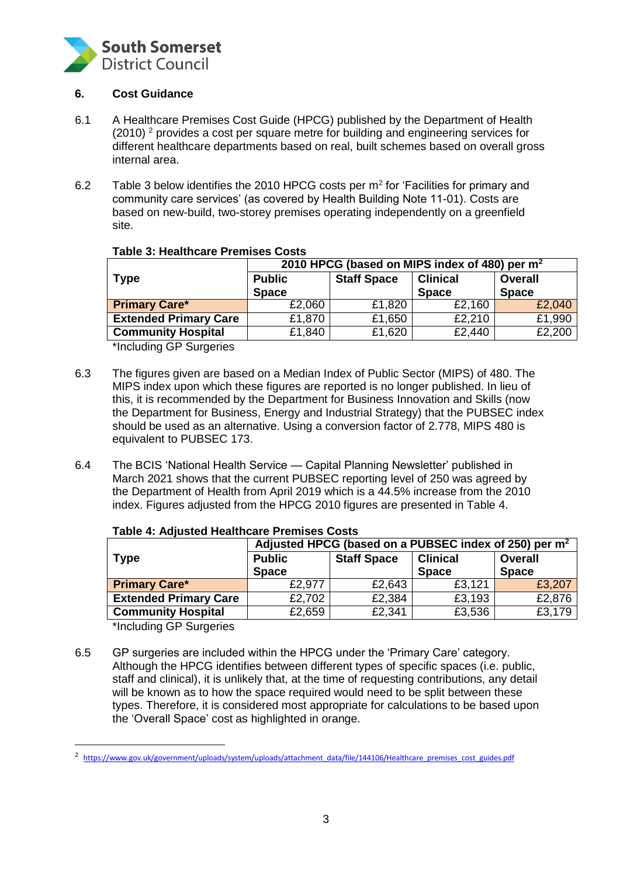

## **6. Cost Guidance**

- 6.1 A Healthcare Premises Cost Guide (HPCG) published by the Department of Health (2010) <sup>2</sup> provides a cost per square metre for building and engineering services for different healthcare departments based on real, built schemes based on overall gross internal area.
- 6.2 Table 3 below identifies the 2010 HPCG costs per m<sup>2</sup> for 'Facilities for primary and community care services' (as covered by Health Building Note 11-01). Costs are based on new-build, two-storey premises operating independently on a greenfield site.

|                              | 2010 HPCG (based on MIPS index of 480) per m <sup>2</sup> |                    |                 |                |  |
|------------------------------|-----------------------------------------------------------|--------------------|-----------------|----------------|--|
| <b>Type</b>                  | <b>Public</b>                                             | <b>Staff Space</b> | <b>Clinical</b> | <b>Overall</b> |  |
|                              | <b>Space</b>                                              | <b>Space</b>       |                 | <b>Space</b>   |  |
| <b>Primary Care*</b>         | £2,060                                                    | £1,820             | £2,160          | £2,040         |  |
| <b>Extended Primary Care</b> | £1,870                                                    | £1,650             | £2,210          | £1,990         |  |
| <b>Community Hospital</b>    | £1,840                                                    | £1,620             | £2,440          | £2,200         |  |

## **Table 3: Healthcare Premises Costs**

\*Including GP Surgeries

- 6.3 The figures given are based on a Median Index of Public Sector (MIPS) of 480. The MIPS index upon which these figures are reported is no longer published. In lieu of this, it is recommended by the Department for Business Innovation and Skills (now the Department for Business, Energy and Industrial Strategy) that the PUBSEC index should be used as an alternative. Using a conversion factor of 2.778, MIPS 480 is equivalent to PUBSEC 173.
- 6.4 The BCIS 'National Health Service Capital Planning Newsletter' published in March 2021 shows that the current PUBSEC reporting level of 250 was agreed by the Department of Health from April 2019 which is a 44.5% increase from the 2010 index. Figures adjusted from the HPCG 2010 figures are presented in Table 4.

|                              | Adjusted HPCG (based on a PUBSEC index of 250) per m <sup>2</sup> |                    |                 |                |  |
|------------------------------|-------------------------------------------------------------------|--------------------|-----------------|----------------|--|
| <b>Type</b>                  | <b>Public</b>                                                     | <b>Staff Space</b> | <b>Clinical</b> | <b>Overall</b> |  |
|                              | <b>Space</b>                                                      |                    | <b>Space</b>    | <b>Space</b>   |  |
| <b>Primary Care*</b>         | £2,977                                                            | £2,643             | £3,121          | £3,207         |  |
| <b>Extended Primary Care</b> | £2,702                                                            | £2,384             | £3,193          | £2,876         |  |
| <b>Community Hospital</b>    | £2,659                                                            | £2,341             | £3,536          | £3,179         |  |

#### **Table 4: Adjusted Healthcare Premises Costs**

\*Including GP Surgeries

6.5 GP surgeries are included within the HPCG under the 'Primary Care' category. Although the HPCG identifies between different types of specific spaces (i.e. public, staff and clinical), it is unlikely that, at the time of requesting contributions, any detail will be known as to how the space required would need to be split between these types. Therefore, it is considered most appropriate for calculations to be based upon the 'Overall Space' cost as highlighted in orange.

<sup>&</sup>lt;sup>2</sup> [https://www.gov.uk/government/uploads/system/uploads/attachment\\_data/file/144106/Healthcare\\_premises\\_cost\\_guides.pdf](https://www.gov.uk/government/uploads/system/uploads/attachment_data/file/144106/Healthcare_premises_cost_guides.pdf)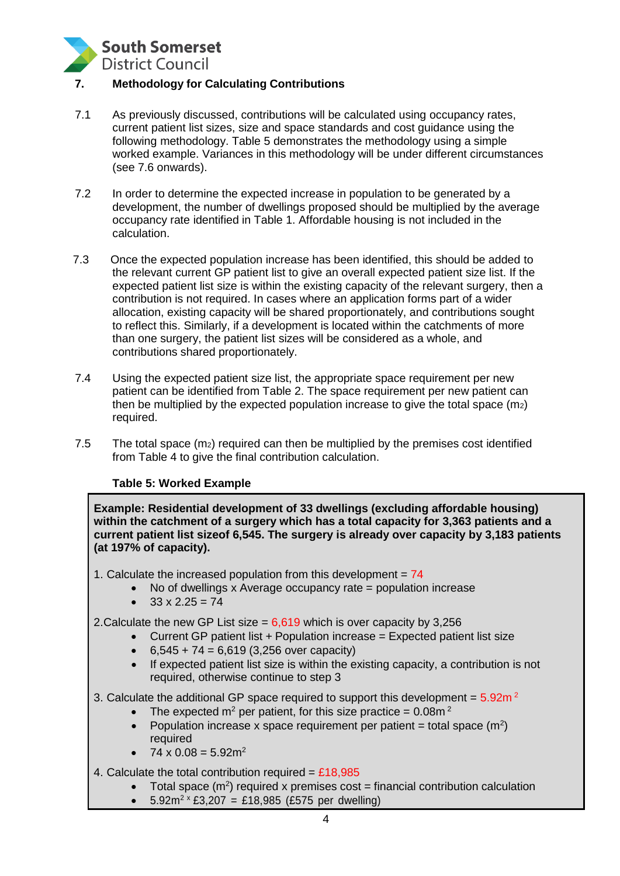

# **7. Methodology for Calculating Contributions**

- 7.1 As previously discussed, contributions will be calculated using occupancy rates, current patient list sizes, size and space standards and cost guidance using the following methodology. Table 5 demonstrates the methodology using a simple worked example. Variances in this methodology will be under different circumstances (see 7.6 onwards).
- 7.2 In order to determine the expected increase in population to be generated by a development, the number of dwellings proposed should be multiplied by the average occupancy rate identified in Table 1. Affordable housing is not included in the calculation.
- 7.3 Once the expected population increase has been identified, this should be added to the relevant current GP patient list to give an overall expected patient size list. If the expected patient list size is within the existing capacity of the relevant surgery, then a contribution is not required. In cases where an application forms part of a wider allocation, existing capacity will be shared proportionately, and contributions sought to reflect this. Similarly, if a development is located within the catchments of more than one surgery, the patient list sizes will be considered as a whole, and contributions shared proportionately.
- 7.4 Using the expected patient size list, the appropriate space requirement per new patient can be identified from Table 2. The space requirement per new patient can then be multiplied by the expected population increase to give the total space (m2) required.
- 7.5 The total space  $(m_2)$  required can then be multiplied by the premises cost identified from Table 4 to give the final contribution calculation.

## **Table 5: Worked Example**

**Example: Residential development of 33 dwellings (excluding affordable housing) within the catchment of a surgery which has a total capacity for 3,363 patients and a current patient list sizeof 6,545. The surgery is already over capacity by 3,183 patients (at 197% of capacity).**

- 1. Calculate the increased population from this development  $= 74$ 
	- No of dwellings x Average occupancy rate = population increase
	- $\bullet$  33 x 2.25 = 74
- 2.Calculate the new GP List size = 6,619 which is over capacity by 3,256
	- Current GP patient list + Population increase = Expected patient list size
	- $6,545 + 74 = 6,619$  (3,256 over capacity)
	- If expected patient list size is within the existing capacity, a contribution is not required, otherwise continue to step 3
- 3. Calculate the additional GP space required to support this development =  $5.92m<sup>2</sup>$ 
	- The expected  $m^2$  per patient, for this size practice = 0.08m<sup>2</sup>
	- Population increase x space requirement per patient = total space  $(m^2)$ required
	- $74 \times 0.08 = 5.92 \text{m}^2$
- 4. Calculate the total contribution required =  $£18,985$ 
	- Total space  $(m^2)$  required x premises cost = financial contribution calculation
	- $5.92m^2 \times £3,207 = £18,985$  (£575 per dwelling)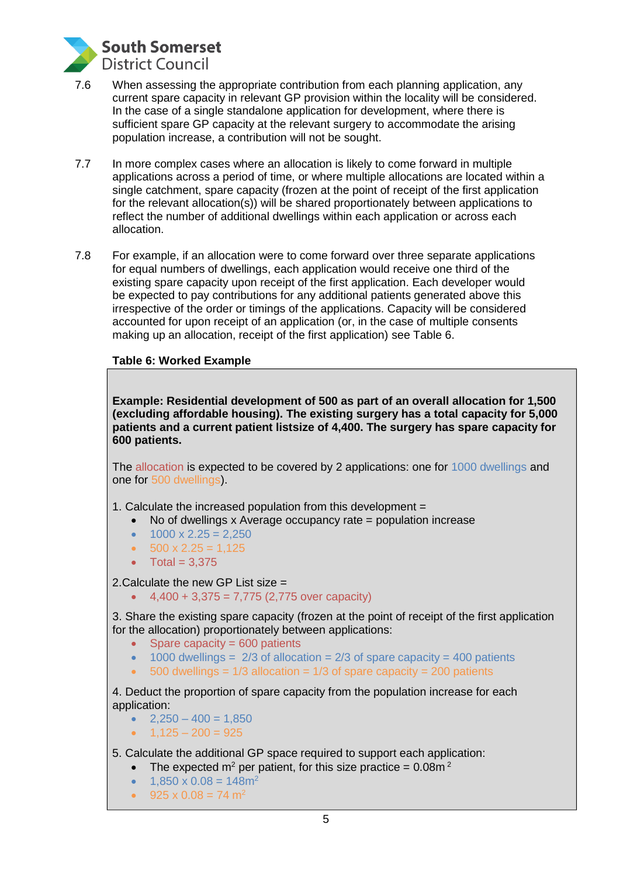

- 7.6 When assessing the appropriate contribution from each planning application, any current spare capacity in relevant GP provision within the locality will be considered. In the case of a single standalone application for development, where there is sufficient spare GP capacity at the relevant surgery to accommodate the arising population increase, a contribution will not be sought.
- 7.7 In more complex cases where an allocation is likely to come forward in multiple applications across a period of time, or where multiple allocations are located within a single catchment, spare capacity (frozen at the point of receipt of the first application for the relevant allocation(s)) will be shared proportionately between applications to reflect the number of additional dwellings within each application or across each allocation.
- 7.8 For example, if an allocation were to come forward over three separate applications for equal numbers of dwellings, each application would receive one third of the existing spare capacity upon receipt of the first application. Each developer would be expected to pay contributions for any additional patients generated above this irrespective of the order or timings of the applications. Capacity will be considered accounted for upon receipt of an application (or, in the case of multiple consents making up an allocation, receipt of the first application) see Table 6.

## **Table 6: Worked Example**

**Example: Residential development of 500 as part of an overall allocation for 1,500 (excluding affordable housing). The existing surgery has a total capacity for 5,000 patients and a current patient listsize of 4,400. The surgery has spare capacity for 600 patients.**

The allocation is expected to be covered by 2 applications: one for 1000 dwellings and one for 500 dwellings).

- 1. Calculate the increased population from this development =
	- No of dwellings x Average occupancy rate = population increase
	- $1000 \times 2.25 = 2.250$
	- $\bullet$  500 x 2.25 = 1,125
	- $\bullet$  Total = 3,375

2.Calculate the new GP List size =

 $\bullet$  4,400 + 3,375 = 7,775 (2,775 over capacity)

3. Share the existing spare capacity (frozen at the point of receipt of the first application for the allocation) proportionately between applications:

- $\bullet$  Spare capacity = 600 patients
- $\bullet$  1000 dwellings = 2/3 of allocation = 2/3 of spare capacity = 400 patients
- 500 dwellings =  $1/3$  allocation =  $1/3$  of spare capacity = 200 patients

4. Deduct the proportion of spare capacity from the population increase for each application:

- $2.250 400 = 1.850$
- $\bullet$  1,125 200 = 925
- 5. Calculate the additional GP space required to support each application:
	- The expected  $m^2$  per patient, for this size practice = 0.08m<sup>2</sup>
	- $1.850 \times 0.08 = 148$ m<sup>2</sup>
	- $925 \times 0.08 = 74$  m<sup>2</sup>